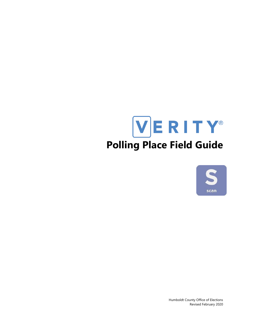# VERITY® **Polling Place Field Guide**



Humboldt County Office of Elections Revised February 2020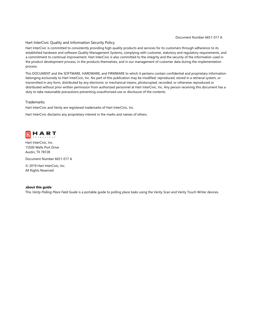#### Document Number 6651-017 A

#### Hart InterCivic Quality and Information Security Policy

Hart InterCivic is committed to consistently providing high quality products and services for its customers through adherence to its established hardware and software Quality Management Systems, complying with customer, statutory and regulatory requirements, and a commitment to continual improvement. Hart InterCivic is also committed to the integrity and the security of the information used in the product development process, in the products themselves, and in our management of customer data during the implementation process.

This DOCUMENT and the SOFTWARE, HARDWARE, and FIRMWARE to which it pertains contain confidential and proprietary information belonging exclusively to Hart InterCivic, Inc. No part of this publication may be modified, reproduced, stored in a retrieval system, or transmitted in any form, distributed by any electronic or mechanical means, photocopied, recorded, or otherwise reproduced or distributed without prior written permission from authorized personnel at Hart InterCivic, Inc. Any person receiving this document has a duty to take reasonable precautions preventing unauthorized use or disclosure of the contents.

#### **Trademarks**

Hart InterCivic and Verity are registered trademarks of Hart InterCivic, Inc.

Hart InterCivic disclaims any proprietary interest in the marks and names of others.



Hart InterCivic, Inc. 15500 Wells Port Drive Austin, TX 78728

Document Number 6651-017 A

© 2019 Hart InterCivic, Inc. All Rights Reserved

#### **about this guide**

This *Verity Polling Place Field Guide* is a portable guide to polling place tasks using the Verity Scan and Verity Touch Writer devices.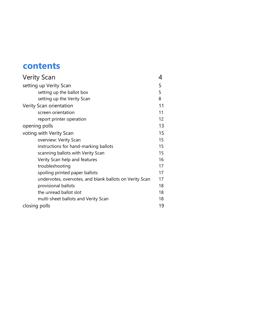# **contents**

| <b>Verity Scan</b>                                      |     |
|---------------------------------------------------------|-----|
| setting up Verity Scan                                  | 5   |
| setting up the ballot box                               | 5   |
| setting up the Verity Scan                              | 8   |
| Verity Scan orientation                                 | 11  |
| screen orientation                                      | 11  |
| report printer operation                                | 12. |
| opening polls                                           | 13  |
| voting with Verity Scan                                 | 15  |
| overview: Verity Scan                                   | 15  |
| instructions for hand-marking ballots                   | 15  |
| scanning ballots with Verity Scan                       | 15  |
| Verity Scan help and features                           | 16  |
| troubleshooting                                         | 17  |
| spoiling printed paper ballots                          | 17  |
| undervotes, overvotes, and blank ballots on Verity Scan | 17  |
| provisional ballots                                     | 18  |
| the unread ballot slot                                  | 18  |
| multi-sheet ballots and Verity Scan                     | 18  |
| closing polls                                           | 19  |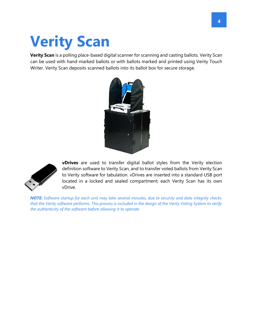# **Verity Scan**

**Verity Scan** is a polling place-based digital scanner for scanning and casting ballots. Verity Scan can be used with hand-marked ballots or with ballots marked and printed using Verity Touch Writer. Verity Scan deposits scanned ballots into its ballot box for secure storage.





**vDrives** are used to transfer digital ballot styles from the Verity election definition software to Verity Scan, and to transfer voted ballots from Verity Scan to Verity software for tabulation. vDrives are inserted into a standard USB port located in a locked and sealed compartment; each Verity Scan has its own vDrive.

*NOTE: Software startup for each unit may take several minutes, due to security and data integrity checks that the Verity software performs. This process is included in the design of the Verity Voting System to verify the authenticity of the software before allowing it to operate.*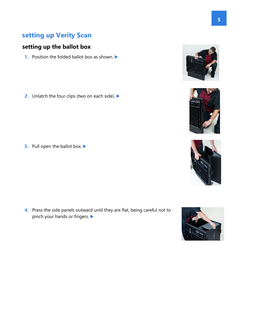# **setting up Verity Scan**

# **setting up the ballot box**

**1.** Position the folded ballot box as shown.

**2.** Unlatch the four clips (two on each side). ▶

**3.** Pull open the ballot box.

**4.** Press the side panels outward until they are flat, being careful not to pinch your hands or fingers.







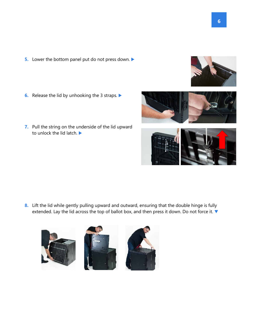- **5.** Lower the bottom panel put do not press down.
- **6.** Release the lid by unhooking the 3 straps.
- **7.** Pull the string on the underside of the lid upward to unlock the lid latch.

**8.** Lift the lid while gently pulling upward and outward, ensuring that the double hinge is fully extended. Lay the lid across the top of ballot box, and then press it down. Do not force it.







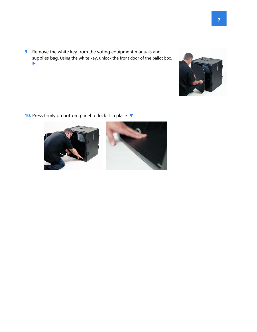**9.** Remove the white key from the voting equipment manuals and supplies bag. Using the white key, unlock the front door of the ballot box.  $\blacktriangleright$ 



10. Press firmly on bottom panel to lock it in place.  $\blacktriangledown$ 



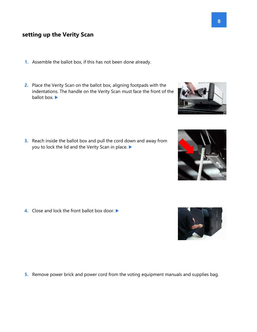## **setting up the Verity Scan**

- **1.** Assemble the ballot box, if this has not been done already.
- **2.** Place the Verity Scan on the ballot box, aligning footpads with the indentations. The handle on the Verity Scan must face the front of the ballot box.

**3.** Reach inside the ballot box and pull the cord down and away from you to lock the lid and the Verity Scan in place.

**4.** Close and lock the front ballot box door. ▶

**5.** Remove power brick and power cord from the voting equipment manuals and supplies bag.





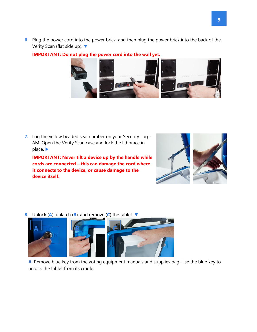**6.** Plug the power cord into the power brick, and then plug the power brick into the back of the Verity Scan (flat side up). ▼



#### **IMPORTANT: Do not plug the power cord into the wall yet.**

**7.** Log the yellow beaded seal number on your Security Log - AM. Open the Verity Scan case and lock the lid brace in place.

**IMPORTANT: Never tilt a device up by the handle while cords are connected – this can damage the cord where it connects to the device, or cause damage to the device itself.** 



**8.** Unlock (**A**), unlatch (**B**), and remove (**C**) the tablet.



**A**: Remove blue key from the voting equipment manuals and supplies bag. Use the blue key to unlock the tablet from its cradle.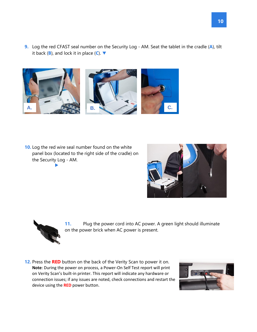**9.** Log the red CFAST seal number on the Security Log - AM. Seat the tablet in the cradle (**A**), tilt it back (**B**), and lock it in place (**C**).



**10.** Log the red wire seal number found on the white panel box (located to the right side of the cradle) on the Security Log - AM.  $\blacktriangleright$ 





**11.** Plug the power cord into AC power. A green light should illuminate on the power brick when AC power is present.

**12.** Press the **RED** button on the back of the Verity Scan to power it on. **Note**: During the power on process, a Power-On Self Test report will print on Verity Scan's built-in printer. This report will indicate any hardware or connection issues; if any issues are noted, check connections and restart the device using the **RED** power button.

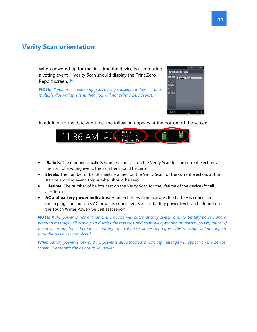# **Verity Scan orientation**

When powered up for the first time the device is used during a voting event, Verity Scan should display the Print Zero Report screen.

*NOTE: If you are reopening polls during subsequent days of a multiple-day voting event, then you will not print a Zero report.* 



In addition to the date and time, the following appears at the bottom of the screen:



- **Ballots:** The number of ballots scanned and cast on the Verity Scan for the current election; at the start of a voting event, this number should be zero.
- **Sheets:** The number of ballot sheets scanned on the Verity Scan for the current election; at the start of a voting event, this number should be zero.
- **Lifetime:** The number of ballots cast on the Verity Scan for the lifetime of the device (for all elections).
- **AC and battery power indicators:** A green battery icon indicates the battery is connected; a green plug icon indicates AC power is connected. Specific battery power level can be found on the Touch Writer Power-On Self Test report.

*NOTE: If AC power is not available, the device will automatically switch over to battery power, and a warning message will display. To dismiss the message and continue operating on battery power, touch "If the power is out, touch here to use battery". If a voting session is in progress, this message will not appear until the session is completed.* 

*When battery power is low, and AC power is disconnected, a warning message will appear on the device screen. Reconnect the device to AC power.*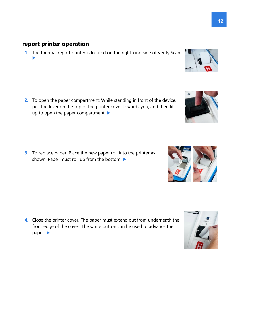# **report printer operation**

**1.** The thermal report printer is located on the righthand side of Verity Scan.  $\blacktriangleright$ 

**2.** To open the paper compartment: While standing in front of the device, pull the lever on the top of the printer cover towards you, and then lift up to open the paper compartment.

**3.** To replace paper: Place the new paper roll into the printer as shown. Paper must roll up from the bottom.

**4.** Close the printer cover. The paper must extend out from underneath the front edge of the cover. The white button can be used to advance the paper.







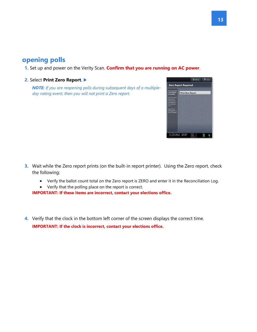# **opening polls**

**1.** Set up and power on the Verity Scan. **Confirm that you are running on AC power**.

#### **2.** Select **Print Zero Report**.

*NOTE: If you are reopening polls during subsequent days of a multipleday voting event, then you will not print a Zero report.* 



- **3.** Wait while the Zero report prints (on the built-in report printer). Using the Zero report, check the following:
	- Verify the ballot count total on the Zero report is ZERO and enter it in the Reconciliation Log.
	- Verify that the polling place on the report is correct.

**IMPORTANT: If these items are incorrect, contact your elections office.** 

**4.** Verify that the clock in the bottom left corner of the screen displays the correct time. **IMPORTANT: If the clock is incorrect, contact your elections office.**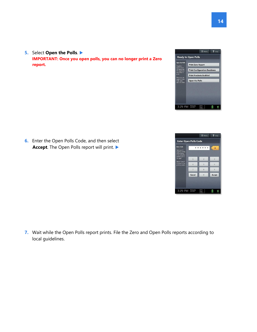

**6.** Enter the Open Polls Code, and then select Accept. The Open Polls report will print.

**IMPORTANT: Once you open polls, you can no longer print a Zero** 

**5.** Select **Open the Polls**.

**report.** 

**7.** Wait while the Open Polls report prints. File the Zero and Open Polls reports according to local guidelines.

 $\equiv$  Menu  $2$  Help **Enter Open Polls Code** \*\*\*\*\*\*  $\overline{2}$  $\overline{5}$  $\overline{\phantom{a}}$  $\,$  8  $Cancel$  $\overline{0}$ Accept

3:29 PM Wednesday

 $\mathbf{x}$ 

 $\overline{3}$  $6\overline{6}$ 

 $\,$  9  $\,$ 

L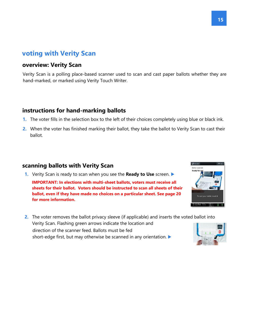# **voting with Verity Scan**

## **overview: Verity Scan**

Verity Scan is a polling place-based scanner used to scan and cast paper ballots whether they are hand-marked, or marked using Verity Touch Writer.

## **instructions for hand-marking ballots**

- **1.** The voter fills in the selection box to the left of their choices completely using blue or black ink.
- **2.** When the voter has finished marking their ballot, they take the ballot to Verity Scan to cast their ballot.

# **scanning ballots with Verity Scan**

- **1.** Verity Scan is ready to scan when you see the **Ready to Use** screen. **IMPORTANT: In elections with multi-sheet ballots, voters must receive all sheets for their ballot. Voters should be instructed to scan all sheets of their ballot, even if they have made no choices on a particular sheet. See page 20 for more information.**
- **2.** The voter removes the ballot privacy sleeve (if applicable) and inserts the voted ballot into Verity Scan. Flashing green arrows indicate the location and direction of the scanner feed. Ballots must be fed short-edge first, but may otherwise be scanned in any orientation.



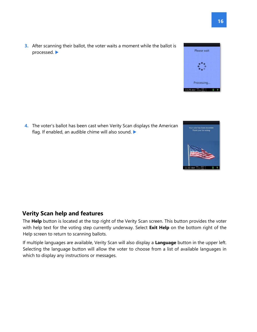**3.** After scanning their ballot, the voter waits a moment while the ballot is processed.

**4.** The voter's ballot has been cast when Verity Scan displays the American flag. If enabled, an audible chime will also sound.

# **Verity Scan help and features**

The **Help** button is located at the top right of the Verity Scan screen. This button provides the voter with help text for the voting step currently underway. Select **Exit Help** on the bottom right of the Help screen to return to scanning ballots.

If multiple languages are available, Verity Scan will also display a **Language** button in the upper left. Selecting the language button will allow the voter to choose from a list of available languages in which to display any instructions or messages.



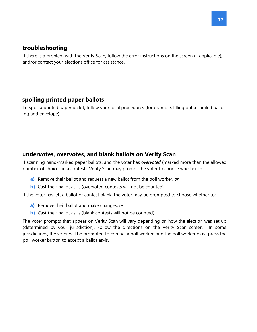## **troubleshooting**

If there is a problem with the Verity Scan, follow the error instructions on the screen (if applicable), and/or contact your elections office for assistance.

# **spoiling printed paper ballots**

To spoil a printed paper ballot, follow your local procedures (for example, filling out a spoiled ballot log and envelope).

# **undervotes, overvotes, and blank ballots on Verity Scan**

If scanning hand-marked paper ballots, and the voter has *overvoted* (marked more than the allowed number of choices in a contest), Verity Scan may prompt the voter to choose whether to:

- **a)** Remove their ballot and request a new ballot from the poll worker, *or*
- **b)** Cast their ballot as-is (overvoted contests will not be counted)

If the voter has left a ballot or contest blank, the voter may be prompted to choose whether to:

- **a)** Remove their ballot and make changes, *or*
- **b)** Cast their ballot as-is (blank contests will not be counted)

The voter prompts that appear on Verity Scan will vary depending on how the election was set up (determined by your jurisdiction). Follow the directions on the Verity Scan screen. In some jurisdictions, the voter will be prompted to contact a poll worker, and the poll worker must press the poll worker button to accept a ballot as-is.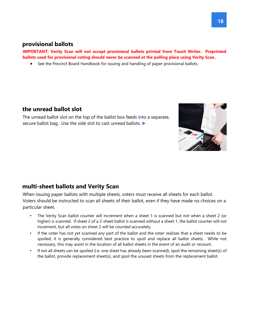### **provisional ballots**

**IMPORTANT: Verity Scan will not accept provisional ballots printed from Touch Writer. Preprinted ballots used for provisional voting should never be scanned at the polling place using Verity Scan.** 

• See the Precinct Board Handbook for issuing and handling of paper provisional ballots.

### **the unread ballot slot**

The unread ballot slot on the top of the ballot box feeds into a separate, secure ballot bag. Use the side slot to cast unread ballots.



When issuing paper ballots with multiple sheets, voters must receive all sheets for each ballot. Voters should be instructed to scan all sheets of their ballot, even if they have made no choices on a particular sheet.

- The Verity Scan ballot counter will increment when a sheet 1 is scanned but not when a sheet 2 (or higher) is scanned. If sheet 2 of a 2-sheet ballot is scanned without a sheet 1, the ballot counter will not increment, but all votes on sheet 2 will be counted accurately.
- If the voter has not yet scanned any part of the ballot and the voter realizes that a sheet needs to be spoiled, it is generally considered best practice to spoil and replace all ballot sheets. While not necessary, this may assist in the location of all ballot sheets in the event of an audit or recount.
- If not all sheets can be spoiled (i.e. one sheet has already been scanned), spoil the remaining sheet(s) of the ballot, provide replacement sheet(s), and spoil the unused sheets from the replacement ballot.

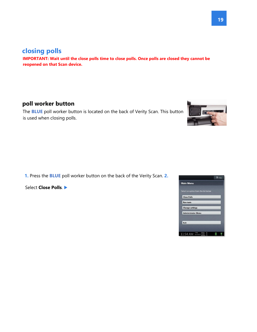#### **19**

# **closing polls**

**IMPORTANT: Wait until the close polls time to close polls. Once polls are closed they cannot be reopened on that Scan device.** 

# **poll worker button**

The **BLUE** poll worker button is located on the back of Verity Scan. This button is used when closing polls.

**1.** Press the **BLUE** poll worker button on the back of the Verity Scan. **2.**

Select **Close Polls**.



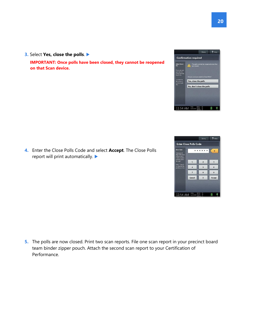

**4.** Enter the Close Polls Code and select **Accept**. The Close Polls report will print automatically.

**IMPORTANT: Once polls have been closed, they cannot be reopened** 

**3.** Select **Yes, close the polls**.

**on that Scan device.** 

**5.** The polls are now closed. Print two scan reports. File one scan report in your precinct board team binder zipper pouch. Attach the second scan report to your Certification of Performance.